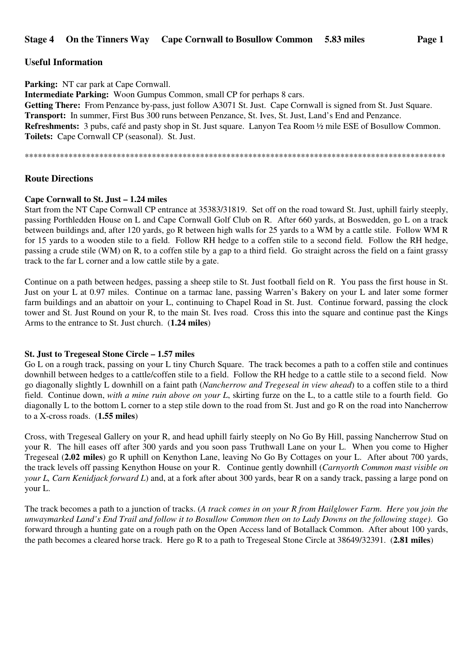# **Useful Information**

**Parking:** NT car park at Cape Cornwall. **Intermediate Parking:** Woon Gumpus Common, small CP for perhaps 8 cars. Getting There: From Penzance by-pass, just follow A3071 St. Just. Cape Cornwall is signed from St. Just Square. **Transport:** In summer, First Bus 300 runs between Penzance, St. Ives, St. Just, Land's End and Penzance. **Refreshments:** 3 pubs, café and pasty shop in St. Just square. Lanyon Tea Room ½ mile ESE of Bosullow Common. **Toilets:** Cape Cornwall CP (seasonal). St. Just.

\*\*\*\*\*\*\*\*\*\*\*\*\*\*\*\*\*\*\*\*\*\*\*\*\*\*\*\*\*\*\*\*\*\*\*\*\*\*\*\*\*\*\*\*\*\*\*\*\*\*\*\*\*\*\*\*\*\*\*\*\*\*\*\*\*\*\*\*\*\*\*\*\*\*\*\*\*\*\*\*\*\*\*\*\*\*\*\*\*\*\*\*\*\*\*\*

# **Route Directions**

#### **Cape Cornwall to St. Just – 1.24 miles**

Start from the NT Cape Cornwall CP entrance at 35383/31819. Set off on the road toward St. Just, uphill fairly steeply, passing Porthledden House on L and Cape Cornwall Golf Club on R. After 660 yards, at Boswedden, go L on a track between buildings and, after 120 yards, go R between high walls for 25 yards to a WM by a cattle stile. Follow WM R for 15 yards to a wooden stile to a field. Follow RH hedge to a coffen stile to a second field. Follow the RH hedge, passing a crude stile (WM) on R, to a coffen stile by a gap to a third field. Go straight across the field on a faint grassy track to the far L corner and a low cattle stile by a gate.

Continue on a path between hedges, passing a sheep stile to St. Just football field on R. You pass the first house in St. Just on your L at 0.97 miles. Continue on a tarmac lane, passing Warren's Bakery on your L and later some former farm buildings and an abattoir on your L, continuing to Chapel Road in St. Just. Continue forward, passing the clock tower and St. Just Round on your R, to the main St. Ives road. Cross this into the square and continue past the Kings Arms to the entrance to St. Just church. (**1.24 miles**)

#### **St. Just to Tregeseal Stone Circle – 1.57 miles**

Go L on a rough track, passing on your L tiny Church Square. The track becomes a path to a coffen stile and continues downhill between hedges to a cattle/coffen stile to a field. Follow the RH hedge to a cattle stile to a second field. Now go diagonally slightly L downhill on a faint path (*Nancherrow and Tregeseal in view ahead*) to a coffen stile to a third field. Continue down, *with a mine ruin above on your L*, skirting furze on the L, to a cattle stile to a fourth field. Go diagonally L to the bottom L corner to a step stile down to the road from St. Just and go R on the road into Nancherrow to a X-cross roads. (**1.55 miles**)

Cross, with Tregeseal Gallery on your R, and head uphill fairly steeply on No Go By Hill, passing Nancherrow Stud on your R. The hill eases off after 300 yards and you soon pass Truthwall Lane on your L. When you come to Higher Tregeseal (**2.02 miles**) go R uphill on Kenython Lane, leaving No Go By Cottages on your L. After about 700 yards, the track levels off passing Kenython House on your R. Continue gently downhill (*Carnyorth Common mast visible on your L, Carn Kenidjack forward L*) and, at a fork after about 300 yards, bear R on a sandy track, passing a large pond on your L.

The track becomes a path to a junction of tracks. (*A track comes in on your R from Hailglower Farm*. *Here you join the unwaymarked Land's End Trail and follow it to Bosullow Common then on to Lady Downs on the following stage)*. Go forward through a hunting gate on a rough path on the Open Access land of Botallack Common. After about 100 yards, the path becomes a cleared horse track. Here go R to a path to Tregeseal Stone Circle at 38649/32391. (**2.81 miles**)